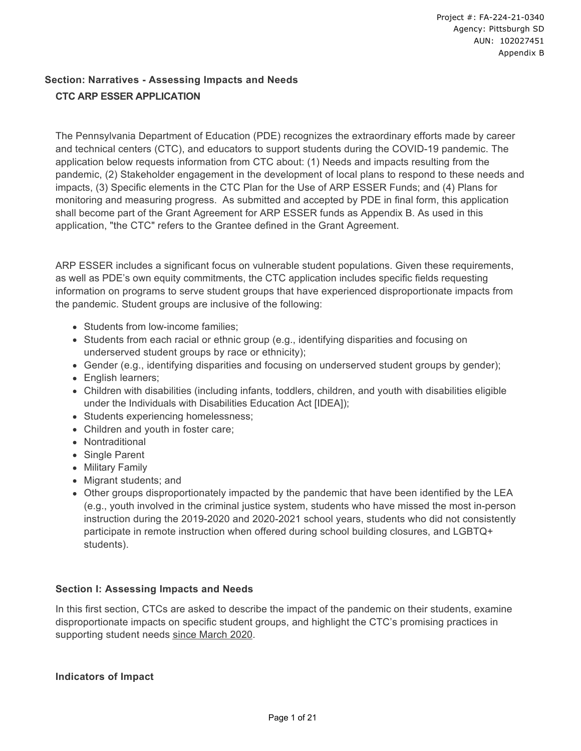## **Section: Narratives - Assessing Impacts and Needs CTC ARP ESSER APPLICATION**

The Pennsylvania Department of Education (PDE) recognizes the extraordinary efforts made by career and technical centers (CTC), and educators to support students during the COVID-19 pandemic. The application below requests information from CTC about: (1) Needs and impacts resulting from the pandemic, (2) Stakeholder engagement in the development of local plans to respond to these needs and impacts, (3) Specific elements in the CTC Plan for the Use of ARP ESSER Funds; and (4) Plans for monitoring and measuring progress. As submitted and accepted by PDE in final form, this application shall become part of the Grant Agreement for ARP ESSER funds as Appendix B. As used in this application, "the CTC" refers to the Grantee defined in the Grant Agreement.

ARP ESSER includes a significant focus on vulnerable student populations. Given these requirements, as well as PDE's own equity commitments, the CTC application includes specific fields requesting information on programs to serve student groups that have experienced disproportionate impacts from the pandemic. Student groups are inclusive of the following:

- Students from low-income families:
- Students from each racial or ethnic group (e.g., identifying disparities and focusing on underserved student groups by race or ethnicity);
- Gender (e.g., identifying disparities and focusing on underserved student groups by gender);
- English learners:
- Children with disabilities (including infants, toddlers, children, and youth with disabilities eligible under the Individuals with Disabilities Education Act [IDEA]);
- Students experiencing homelessness;
- Children and youth in foster care;
- Nontraditional
- Single Parent
- Military Family
- Migrant students; and
- Other groups disproportionately impacted by the pandemic that have been identified by the LEA (e.g., youth involved in the criminal justice system, students who have missed the most in-person instruction during the 2019-2020 and 2020-2021 school years, students who did not consistently participate in remote instruction when offered during school building closures, and LGBTQ+ students).

### **Section I: Assessing Impacts and Needs**

In this first section, CTCs are asked to describe the impact of the pandemic on their students, examine disproportionate impacts on specific student groups, and highlight the CTC's promising practices in supporting student needs since March 2020.

#### **Indicators of Impact**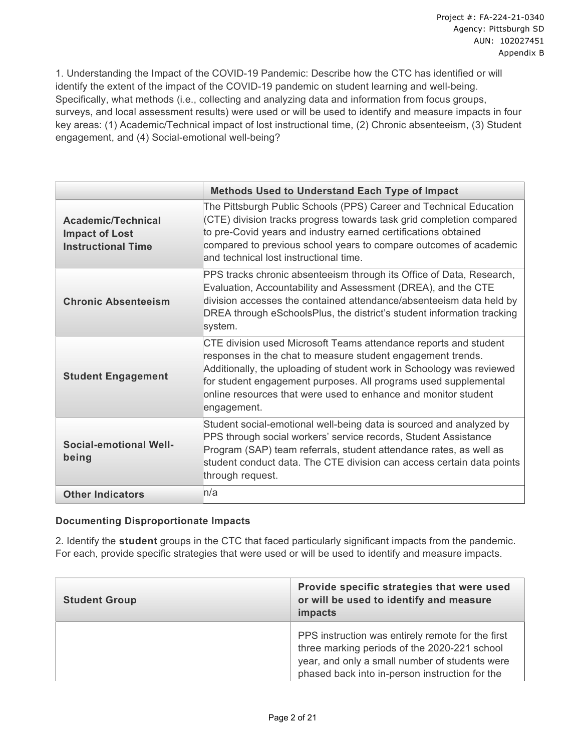1. Understanding the Impact of the COVID-19 Pandemic: Describe how the CTC has identified or will identify the extent of the impact of the COVID-19 pandemic on student learning and well-being. Specifically, what methods (i.e., collecting and analyzing data and information from focus groups, surveys, and local assessment results) were used or will be used to identify and measure impacts in four key areas: (1) Academic/Technical impact of lost instructional time, (2) Chronic absenteeism, (3) Student engagement, and (4) Social-emotional well-being?

|                                                                          | <b>Methods Used to Understand Each Type of Impact</b>                                                                                                                                                                                                                                                                                                        |
|--------------------------------------------------------------------------|--------------------------------------------------------------------------------------------------------------------------------------------------------------------------------------------------------------------------------------------------------------------------------------------------------------------------------------------------------------|
| Academic/Technical<br><b>Impact of Lost</b><br><b>Instructional Time</b> | The Pittsburgh Public Schools (PPS) Career and Technical Education<br>(CTE) division tracks progress towards task grid completion compared<br>to pre-Covid years and industry earned certifications obtained<br>compared to previous school years to compare outcomes of academic<br>and technical lost instructional time.                                  |
| <b>Chronic Absenteeism</b>                                               | PPS tracks chronic absenteeism through its Office of Data, Research,<br>Evaluation, Accountability and Assessment (DREA), and the CTE<br>division accesses the contained attendance/absenteeism data held by<br>DREA through eSchoolsPlus, the district's student information tracking<br>system.                                                            |
| <b>Student Engagement</b>                                                | CTE division used Microsoft Teams attendance reports and student<br>responses in the chat to measure student engagement trends.<br>Additionally, the uploading of student work in Schoology was reviewed<br>for student engagement purposes. All programs used supplemental<br>online resources that were used to enhance and monitor student<br>engagement. |
| <b>Social-emotional Well-</b><br>being                                   | Student social-emotional well-being data is sourced and analyzed by<br>PPS through social workers' service records, Student Assistance<br>Program (SAP) team referrals, student attendance rates, as well as<br>student conduct data. The CTE division can access certain data points<br>through request.                                                    |
| <b>Other Indicators</b>                                                  | n/a                                                                                                                                                                                                                                                                                                                                                          |

### **Documenting Disproportionate Impacts**

2. Identify the **student** groups in the CTC that faced particularly significant impacts from the pandemic. For each, provide specific strategies that were used or will be used to identify and measure impacts.

| <b>Student Group</b> | Provide specific strategies that were used<br>or will be used to identify and measure<br>impacts                                                                                                      |
|----------------------|-------------------------------------------------------------------------------------------------------------------------------------------------------------------------------------------------------|
|                      | PPS instruction was entirely remote for the first<br>three marking periods of the 2020-221 school<br>year, and only a small number of students were<br>phased back into in-person instruction for the |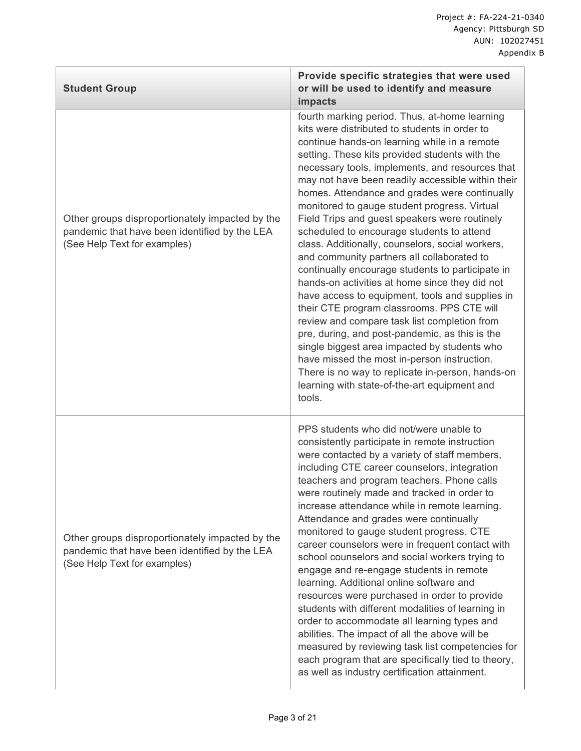| <b>Student Group</b>                                                                                                             | Provide specific strategies that were used<br>or will be used to identify and measure<br>impacts                                                                                                                                                                                                                                                                                                                                                                                                                                                                                                                                                                                                                                                                                                                                                                                                                                                                                                                                                                                                                                |
|----------------------------------------------------------------------------------------------------------------------------------|---------------------------------------------------------------------------------------------------------------------------------------------------------------------------------------------------------------------------------------------------------------------------------------------------------------------------------------------------------------------------------------------------------------------------------------------------------------------------------------------------------------------------------------------------------------------------------------------------------------------------------------------------------------------------------------------------------------------------------------------------------------------------------------------------------------------------------------------------------------------------------------------------------------------------------------------------------------------------------------------------------------------------------------------------------------------------------------------------------------------------------|
| Other groups disproportionately impacted by the<br>pandemic that have been identified by the LEA<br>(See Help Text for examples) | fourth marking period. Thus, at-home learning<br>kits were distributed to students in order to<br>continue hands-on learning while in a remote<br>setting. These kits provided students with the<br>necessary tools, implements, and resources that<br>may not have been readily accessible within their<br>homes. Attendance and grades were continually<br>monitored to gauge student progress. Virtual<br>Field Trips and guest speakers were routinely<br>scheduled to encourage students to attend<br>class. Additionally, counselors, social workers,<br>and community partners all collaborated to<br>continually encourage students to participate in<br>hands-on activities at home since they did not<br>have access to equipment, tools and supplies in<br>their CTE program classrooms. PPS CTE will<br>review and compare task list completion from<br>pre, during, and post-pandemic, as this is the<br>single biggest area impacted by students who<br>have missed the most in-person instruction.<br>There is no way to replicate in-person, hands-on<br>learning with state-of-the-art equipment and<br>tools. |
| Other groups disproportionately impacted by the<br>pandemic that have been identified by the LEA<br>(See Help Text for examples) | PPS students who did not/were unable to<br>consistently participate in remote instruction<br>were contacted by a variety of staff members,<br>including CTE career counselors, integration<br>teachers and program teachers. Phone calls<br>were routinely made and tracked in order to<br>increase attendance while in remote learning.<br>Attendance and grades were continually<br>monitored to gauge student progress. CTE<br>career counselors were in frequent contact with<br>school counselors and social workers trying to<br>engage and re-engage students in remote<br>learning. Additional online software and<br>resources were purchased in order to provide<br>students with different modalities of learning in<br>order to accommodate all learning types and<br>abilities. The impact of all the above will be<br>measured by reviewing task list competencies for<br>each program that are specifically tied to theory,<br>as well as industry certification attainment.                                                                                                                                     |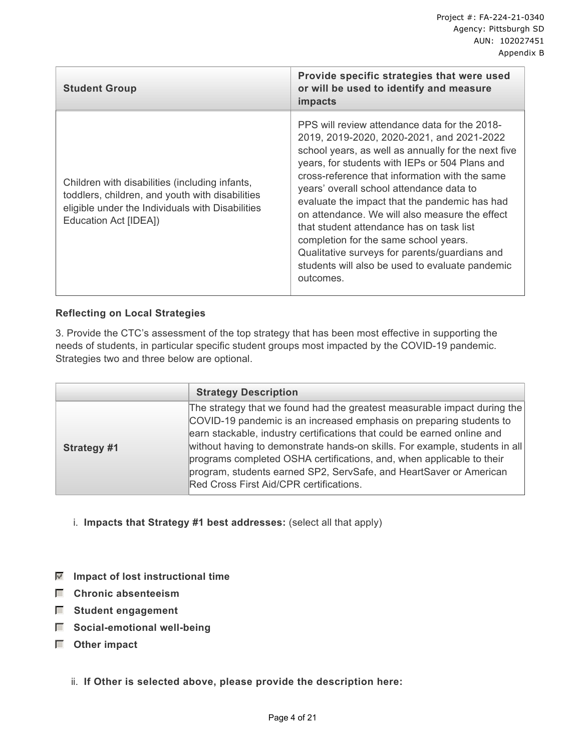| <b>Student Group</b>                                                                                                                                                           | Provide specific strategies that were used<br>or will be used to identify and measure<br>impacts                                                                                                                                                                                                                                                                                                                                                                                                                                                                                                           |
|--------------------------------------------------------------------------------------------------------------------------------------------------------------------------------|------------------------------------------------------------------------------------------------------------------------------------------------------------------------------------------------------------------------------------------------------------------------------------------------------------------------------------------------------------------------------------------------------------------------------------------------------------------------------------------------------------------------------------------------------------------------------------------------------------|
| Children with disabilities (including infants,<br>toddlers, children, and youth with disabilities<br>eligible under the Individuals with Disabilities<br>Education Act [IDEA]) | PPS will review attendance data for the 2018-<br>2019, 2019-2020, 2020-2021, and 2021-2022<br>school years, as well as annually for the next five<br>years, for students with IEPs or 504 Plans and<br>cross-reference that information with the same<br>years' overall school attendance data to<br>evaluate the impact that the pandemic has had<br>on attendance. We will also measure the effect<br>that student attendance has on task list<br>completion for the same school years.<br>Qualitative surveys for parents/guardians and<br>students will also be used to evaluate pandemic<br>outcomes. |

### **Reflecting on Local Strategies**

3. Provide the CTC's assessment of the top strategy that has been most effective in supporting the needs of students, in particular specific student groups most impacted by the COVID-19 pandemic. Strategies two and three below are optional.

|             | <b>Strategy Description</b>                                                                                                                                                                                                                                                                                                                                                                                                                                                                         |
|-------------|-----------------------------------------------------------------------------------------------------------------------------------------------------------------------------------------------------------------------------------------------------------------------------------------------------------------------------------------------------------------------------------------------------------------------------------------------------------------------------------------------------|
| Strategy #1 | The strategy that we found had the greatest measurable impact during the<br>COVID-19 pandemic is an increased emphasis on preparing students to<br>earn stackable, industry certifications that could be earned online and<br>without having to demonstrate hands-on skills. For example, students in all<br>programs completed OSHA certifications, and, when applicable to their<br>program, students earned SP2, ServSafe, and HeartSaver or American<br>Red Cross First Aid/CPR certifications. |

- i. **Impacts that Strategy #1 best addresses:** (select all that apply)
- $\boxed{\blacksquare}$  Impact of lost instructional time
- **Chronic absenteeism**
- **Student engagement**
- $\blacksquare$  Social-emotional well-being
- **Other impact**
	- ii. **If Other is selected above, please provide the description here:**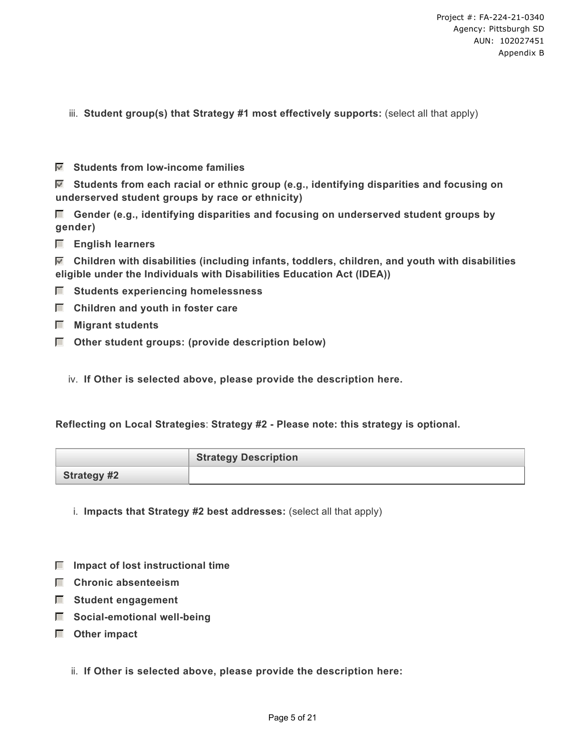- iii. **Student group(s) that Strategy #1 most effectively supports:** (select all that apply)
- **Students from low-income families**

 **Students from each racial or ethnic group (e.g., identifying disparities and focusing on underserved student groups by race or ethnicity)**

- **Gender (e.g., identifying disparities and focusing on underserved student groups by gender)**
- **English learners**

 **Children with disabilities (including infants, toddlers, children, and youth with disabilities eligible under the Individuals with Disabilities Education Act (IDEA))**

- $\Box$  Students experiencing homelessness
- $\Box$  Children and youth in foster care
- **Migrant students**
- **Other student groups: (provide description below)**
	- iv. **If Other is selected above, please provide the description here.**

#### **Reflecting on Local Strategies**: **Strategy #2 - Please note: this strategy is optional.**

|                    | <b>Strategy Description</b> |
|--------------------|-----------------------------|
| <b>Strategy #2</b> |                             |

- i. **Impacts that Strategy #2 best addresses:** (select all that apply)
- $\blacksquare$  Impact of lost instructional time
- **Chronic absenteeism**
- **Student engagement**
- $\Box$  Social-emotional well-being
- **Other impact**
	- ii. **If Other is selected above, please provide the description here:**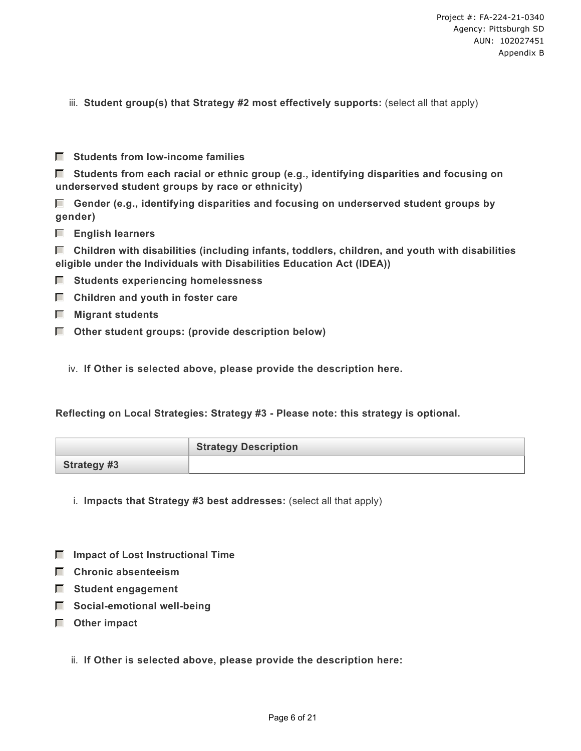- iii. **Student group(s) that Strategy #2 most effectively supports:** (select all that apply)
- **Students from low-income families**

 **Students from each racial or ethnic group (e.g., identifying disparities and focusing on underserved student groups by race or ethnicity)**

 **Gender (e.g., identifying disparities and focusing on underserved student groups by gender)**

 **English learners**

 **Children with disabilities (including infants, toddlers, children, and youth with disabilities eligible under the Individuals with Disabilities Education Act (IDEA))**

- $\Box$  Students experiencing homelessness
- $\Box$  Children and youth in foster care
- **Migrant students**
- **Other student groups: (provide description below)**

iv. **If Other is selected above, please provide the description here.**

**Reflecting on Local Strategies: Strategy #3 - Please note: this strategy is optional.** 

|                    | <b>Strategy Description</b> |
|--------------------|-----------------------------|
| <b>Strategy #3</b> |                             |

- i. **Impacts that Strategy #3 best addresses:** (select all that apply)
- $\blacksquare$  Impact of Lost Instructional Time
- **Chronic absenteeism**
- **Student engagement**
- $\Box$  Social-emotional well-being
- **Other impact**
	- ii. **If Other is selected above, please provide the description here:**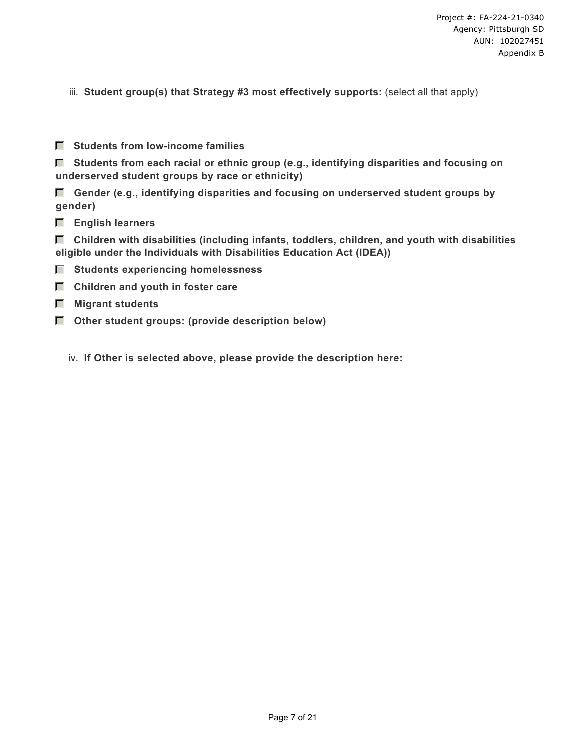- iii. **Student group(s) that Strategy #3 most effectively supports:** (select all that apply)
- **Students from low-income families**

 **Students from each racial or ethnic group (e.g., identifying disparities and focusing on underserved student groups by race or ethnicity)**

 **Gender (e.g., identifying disparities and focusing on underserved student groups by gender)**

 **English learners**

 **Children with disabilities (including infants, toddlers, children, and youth with disabilities eligible under the Individuals with Disabilities Education Act (IDEA))**

- $\Box$  Students experiencing homelessness
- $\Box$  Children and youth in foster care
- **Migrant students**
- $\Box$  Other student groups: (provide description below)

iv. **If Other is selected above, please provide the description here:**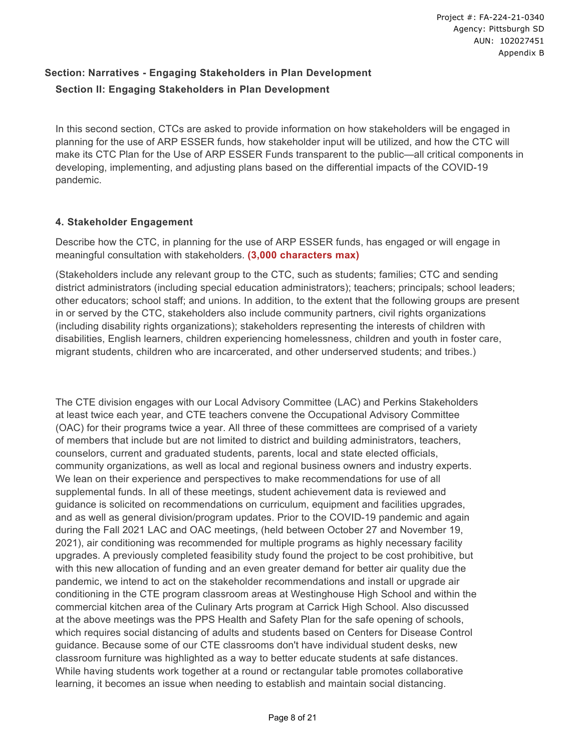# **Section: Narratives - Engaging Stakeholders in Plan Development Section II: Engaging Stakeholders in Plan Development**

In this second section, CTCs are asked to provide information on how stakeholders will be engaged in planning for the use of ARP ESSER funds, how stakeholder input will be utilized, and how the CTC will make its CTC Plan for the Use of ARP ESSER Funds transparent to the public—all critical components in developing, implementing, and adjusting plans based on the differential impacts of the COVID-19 pandemic.

### **4. Stakeholder Engagement**

Describe how the CTC, in planning for the use of ARP ESSER funds, has engaged or will engage in meaningful consultation with stakeholders. **(3,000 characters max)**

(Stakeholders include any relevant group to the CTC, such as students; families; CTC and sending district administrators (including special education administrators); teachers; principals; school leaders; other educators; school staff; and unions. In addition, to the extent that the following groups are present in or served by the CTC, stakeholders also include community partners, civil rights organizations (including disability rights organizations); stakeholders representing the interests of children with disabilities, English learners, children experiencing homelessness, children and youth in foster care, migrant students, children who are incarcerated, and other underserved students; and tribes.)

The CTE division engages with our Local Advisory Committee (LAC) and Perkins Stakeholders at least twice each year, and CTE teachers convene the Occupational Advisory Committee (OAC) for their programs twice a year. All three of these committees are comprised of a variety of members that include but are not limited to district and building administrators, teachers, counselors, current and graduated students, parents, local and state elected officials, community organizations, as well as local and regional business owners and industry experts. We lean on their experience and perspectives to make recommendations for use of all supplemental funds. In all of these meetings, student achievement data is reviewed and guidance is solicited on recommendations on curriculum, equipment and facilities upgrades, and as well as general division/program updates. Prior to the COVID-19 pandemic and again during the Fall 2021 LAC and OAC meetings, (held between October 27 and November 19, 2021), air conditioning was recommended for multiple programs as highly necessary facility upgrades. A previously completed feasibility study found the project to be cost prohibitive, but with this new allocation of funding and an even greater demand for better air quality due the pandemic, we intend to act on the stakeholder recommendations and install or upgrade air conditioning in the CTE program classroom areas at Westinghouse High School and within the commercial kitchen area of the Culinary Arts program at Carrick High School. Also discussed at the above meetings was the PPS Health and Safety Plan for the safe opening of schools, which requires social distancing of adults and students based on Centers for Disease Control guidance. Because some of our CTE classrooms don't have individual student desks, new classroom furniture was highlighted as a way to better educate students at safe distances. While having students work together at a round or rectangular table promotes collaborative learning, it becomes an issue when needing to establish and maintain social distancing.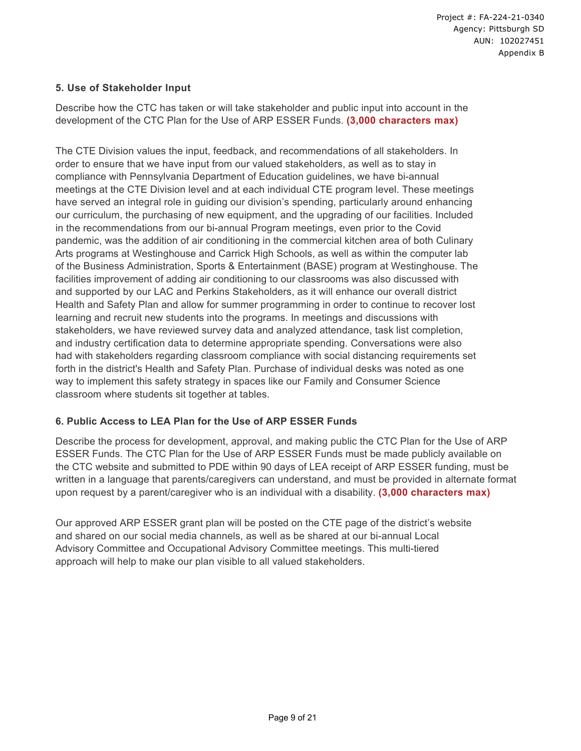### **5. Use of Stakeholder Input**

Describe how the CTC has taken or will take stakeholder and public input into account in the development of the CTC Plan for the Use of ARP ESSER Funds. **(3,000 characters max)**

The CTE Division values the input, feedback, and recommendations of all stakeholders. In order to ensure that we have input from our valued stakeholders, as well as to stay in compliance with Pennsylvania Department of Education guidelines, we have bi-annual meetings at the CTE Division level and at each individual CTE program level. These meetings have served an integral role in guiding our division's spending, particularly around enhancing our curriculum, the purchasing of new equipment, and the upgrading of our facilities. Included in the recommendations from our bi-annual Program meetings, even prior to the Covid pandemic, was the addition of air conditioning in the commercial kitchen area of both Culinary Arts programs at Westinghouse and Carrick High Schools, as well as within the computer lab of the Business Administration, Sports & Entertainment (BASE) program at Westinghouse. The facilities improvement of adding air conditioning to our classrooms was also discussed with and supported by our LAC and Perkins Stakeholders, as it will enhance our overall district Health and Safety Plan and allow for summer programming in order to continue to recover lost learning and recruit new students into the programs. In meetings and discussions with stakeholders, we have reviewed survey data and analyzed attendance, task list completion, and industry certification data to determine appropriate spending. Conversations were also had with stakeholders regarding classroom compliance with social distancing requirements set forth in the district's Health and Safety Plan. Purchase of individual desks was noted as one way to implement this safety strategy in spaces like our Family and Consumer Science classroom where students sit together at tables.

### **6. Public Access to LEA Plan for the Use of ARP ESSER Funds**

Describe the process for development, approval, and making public the CTC Plan for the Use of ARP ESSER Funds. The CTC Plan for the Use of ARP ESSER Funds must be made publicly available on the CTC website and submitted to PDE within 90 days of LEA receipt of ARP ESSER funding, must be written in a language that parents/caregivers can understand, and must be provided in alternate format upon request by a parent/caregiver who is an individual with a disability. **(3,000 characters max)**

Our approved ARP ESSER grant plan will be posted on the CTE page of the district's website and shared on our social media channels, as well as be shared at our bi-annual Local Advisory Committee and Occupational Advisory Committee meetings. This multi-tiered approach will help to make our plan visible to all valued stakeholders.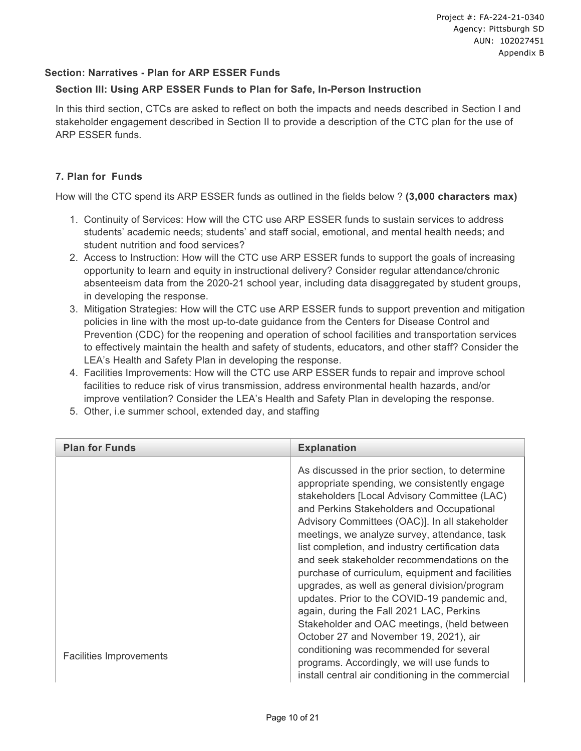#### **Section: Narratives - Plan for ARP ESSER Funds**

#### **Section III: Using ARP ESSER Funds to Plan for Safe, In-Person Instruction**

In this third section, CTCs are asked to reflect on both the impacts and needs described in Section I and stakeholder engagement described in Section II to provide a description of the CTC plan for the use of ARP ESSER funds.

#### **7. Plan for Funds**

How will the CTC spend its ARP ESSER funds as outlined in the fields below ? **(3,000 characters max)**

- 1. Continuity of Services: How will the CTC use ARP ESSER funds to sustain services to address students' academic needs; students' and staff social, emotional, and mental health needs; and student nutrition and food services?
- 2. Access to Instruction: How will the CTC use ARP ESSER funds to support the goals of increasing opportunity to learn and equity in instructional delivery? Consider regular attendance/chronic absenteeism data from the 2020-21 school year, including data disaggregated by student groups, in developing the response.
- 3. Mitigation Strategies: How will the CTC use ARP ESSER funds to support prevention and mitigation policies in line with the most up-to-date guidance from the Centers for Disease Control and Prevention (CDC) for the reopening and operation of school facilities and transportation services to effectively maintain the health and safety of students, educators, and other staff? Consider the LEA's Health and Safety Plan in developing the response.
- 4. Facilities Improvements: How will the CTC use ARP ESSER funds to repair and improve school facilities to reduce risk of virus transmission, address environmental health hazards, and/or improve ventilation? Consider the LEA's Health and Safety Plan in developing the response.
- 5. Other, i.e summer school, extended day, and staffing

| <b>Plan for Funds</b>          | <b>Explanation</b>                                                                                                                                                                                                                                                                                                                                                                                                                                                                                                                                                                                                                                                                           |
|--------------------------------|----------------------------------------------------------------------------------------------------------------------------------------------------------------------------------------------------------------------------------------------------------------------------------------------------------------------------------------------------------------------------------------------------------------------------------------------------------------------------------------------------------------------------------------------------------------------------------------------------------------------------------------------------------------------------------------------|
|                                | As discussed in the prior section, to determine<br>appropriate spending, we consistently engage<br>stakeholders [Local Advisory Committee (LAC)<br>and Perkins Stakeholders and Occupational<br>Advisory Committees (OAC)]. In all stakeholder<br>meetings, we analyze survey, attendance, task<br>list completion, and industry certification data<br>and seek stakeholder recommendations on the<br>purchase of curriculum, equipment and facilities<br>upgrades, as well as general division/program<br>updates. Prior to the COVID-19 pandemic and,<br>again, during the Fall 2021 LAC, Perkins<br>Stakeholder and OAC meetings, (held between<br>October 27 and November 19, 2021), air |
| <b>Facilities Improvements</b> | conditioning was recommended for several<br>programs. Accordingly, we will use funds to<br>install central air conditioning in the commercial                                                                                                                                                                                                                                                                                                                                                                                                                                                                                                                                                |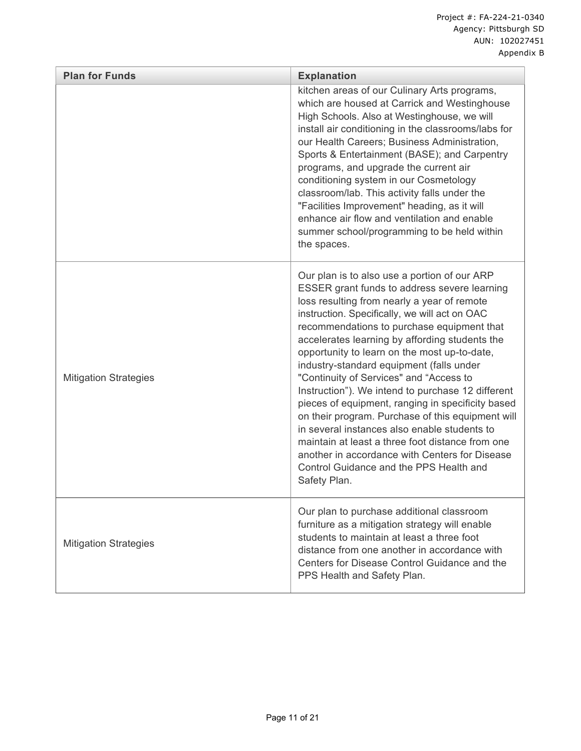| <b>Plan for Funds</b>        | <b>Explanation</b>                                                                                                                                                                                                                                                                                                                                                                                                                                                                                                                                                                                                                                                                                                                                                                                                  |
|------------------------------|---------------------------------------------------------------------------------------------------------------------------------------------------------------------------------------------------------------------------------------------------------------------------------------------------------------------------------------------------------------------------------------------------------------------------------------------------------------------------------------------------------------------------------------------------------------------------------------------------------------------------------------------------------------------------------------------------------------------------------------------------------------------------------------------------------------------|
|                              | kitchen areas of our Culinary Arts programs,<br>which are housed at Carrick and Westinghouse<br>High Schools. Also at Westinghouse, we will<br>install air conditioning in the classrooms/labs for<br>our Health Careers; Business Administration,<br>Sports & Entertainment (BASE); and Carpentry<br>programs, and upgrade the current air<br>conditioning system in our Cosmetology<br>classroom/lab. This activity falls under the<br>"Facilities Improvement" heading, as it will<br>enhance air flow and ventilation and enable<br>summer school/programming to be held within<br>the spaces.                                                                                                                                                                                                                  |
| <b>Mitigation Strategies</b> | Our plan is to also use a portion of our ARP<br>ESSER grant funds to address severe learning<br>loss resulting from nearly a year of remote<br>instruction. Specifically, we will act on OAC<br>recommendations to purchase equipment that<br>accelerates learning by affording students the<br>opportunity to learn on the most up-to-date,<br>industry-standard equipment (falls under<br>"Continuity of Services" and "Access to<br>Instruction"). We intend to purchase 12 different<br>pieces of equipment, ranging in specificity based<br>on their program. Purchase of this equipment will<br>in several instances also enable students to<br>maintain at least a three foot distance from one<br>another in accordance with Centers for Disease<br>Control Guidance and the PPS Health and<br>Safety Plan. |
| <b>Mitigation Strategies</b> | Our plan to purchase additional classroom<br>furniture as a mitigation strategy will enable<br>students to maintain at least a three foot<br>distance from one another in accordance with<br>Centers for Disease Control Guidance and the<br>PPS Health and Safety Plan.                                                                                                                                                                                                                                                                                                                                                                                                                                                                                                                                            |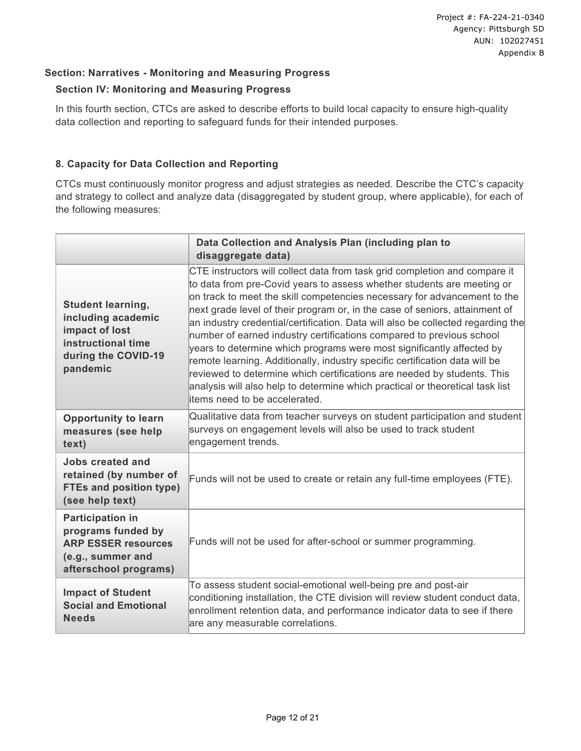### **Section: Narratives - Monitoring and Measuring Progress**

### **Section IV: Monitoring and Measuring Progress**

In this fourth section, CTCs are asked to describe efforts to build local capacity to ensure high-quality data collection and reporting to safeguard funds for their intended purposes.

### **8. Capacity for Data Collection and Reporting**

CTCs must continuously monitor progress and adjust strategies as needed. Describe the CTC's capacity and strategy to collect and analyze data (disaggregated by student group, where applicable), for each of the following measures:

|                                                                                                                           | Data Collection and Analysis Plan (including plan to<br>disaggregate data)                                                                                                                                                                                                                                                                                                                                                                                                                                                                                                                                                                                                                                                                                                                                                       |
|---------------------------------------------------------------------------------------------------------------------------|----------------------------------------------------------------------------------------------------------------------------------------------------------------------------------------------------------------------------------------------------------------------------------------------------------------------------------------------------------------------------------------------------------------------------------------------------------------------------------------------------------------------------------------------------------------------------------------------------------------------------------------------------------------------------------------------------------------------------------------------------------------------------------------------------------------------------------|
| <b>Student learning,</b><br>including academic<br>impact of lost<br>instructional time<br>during the COVID-19<br>pandemic | CTE instructors will collect data from task grid completion and compare it<br>to data from pre-Covid years to assess whether students are meeting or<br>on track to meet the skill competencies necessary for advancement to the<br>next grade level of their program or, in the case of seniors, attainment of<br>an industry credential/certification. Data will also be collected regarding the<br>number of earned industry certifications compared to previous school<br>years to determine which programs were most significantly affected by<br>remote learning. Additionally, industry specific certification data will be<br>reviewed to determine which certifications are needed by students. This<br>analysis will also help to determine which practical or theoretical task list<br>litems need to be accelerated. |
| <b>Opportunity to learn</b><br>measures (see help<br>text)                                                                | Qualitative data from teacher surveys on student participation and student<br>surveys on engagement levels will also be used to track student<br>engagement trends.                                                                                                                                                                                                                                                                                                                                                                                                                                                                                                                                                                                                                                                              |
| <b>Jobs created and</b><br>retained (by number of<br><b>FTEs and position type)</b><br>(see help text)                    | Funds will not be used to create or retain any full-time employees (FTE).                                                                                                                                                                                                                                                                                                                                                                                                                                                                                                                                                                                                                                                                                                                                                        |
| <b>Participation in</b><br>programs funded by<br><b>ARP ESSER resources</b><br>(e.g., summer and<br>afterschool programs) | Funds will not be used for after-school or summer programming.                                                                                                                                                                                                                                                                                                                                                                                                                                                                                                                                                                                                                                                                                                                                                                   |
| <b>Impact of Student</b><br><b>Social and Emotional</b><br><b>Needs</b>                                                   | To assess student social-emotional well-being pre and post-air<br>conditioning installation, the CTE division will review student conduct data,<br>enrollment retention data, and performance indicator data to see if there<br>are any measurable correlations.                                                                                                                                                                                                                                                                                                                                                                                                                                                                                                                                                                 |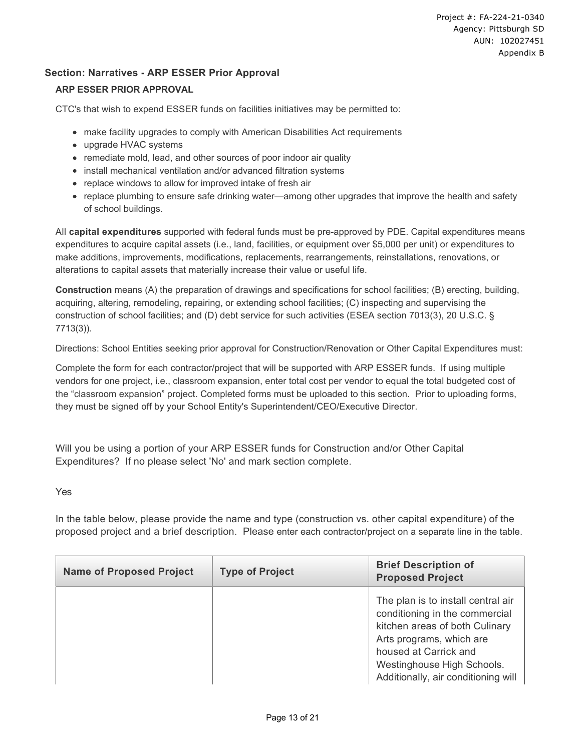#### **Section: Narratives - ARP ESSER Prior Approval**

#### **ARP ESSER PRIOR APPROVAL**

CTC's that wish to expend ESSER funds on facilities initiatives may be permitted to:

- make facility upgrades to comply with American Disabilities Act requirements
- upgrade HVAC systems
- remediate mold, lead, and other sources of poor indoor air quality
- install mechanical ventilation and/or advanced filtration systems
- replace windows to allow for improved intake of fresh air
- replace plumbing to ensure safe drinking water—among other upgrades that improve the health and safety of school buildings.

All **capital expenditures** supported with federal funds must be pre-approved by PDE. Capital expenditures means expenditures to acquire capital assets (i.e., land, facilities, or equipment over \$5,000 per unit) or expenditures to make additions, improvements, modifications, replacements, rearrangements, reinstallations, renovations, or alterations to capital assets that materially increase their value or useful life.

**Construction** means (A) the preparation of drawings and specifications for school facilities; (B) erecting, building, acquiring, altering, remodeling, repairing, or extending school facilities; (C) inspecting and supervising the construction of school facilities; and (D) debt service for such activities (ESEA section 7013(3), 20 U.S.C. § 7713(3)).

Directions: School Entities seeking prior approval for Construction/Renovation or Other Capital Expenditures must:

Complete the form for each contractor/project that will be supported with ARP ESSER funds. If using multiple vendors for one project, i.e., classroom expansion, enter total cost per vendor to equal the total budgeted cost of the "classroom expansion" project. Completed forms must be uploaded to this section. Prior to uploading forms, they must be signed off by your School Entity's Superintendent/CEO/Executive Director.

Will you be using a portion of your ARP ESSER funds for Construction and/or Other Capital Expenditures? If no please select 'No' and mark section complete.

#### Yes

In the table below, please provide the name and type (construction vs. other capital expenditure) of the proposed project and a brief description. Please enter each contractor/project on a separate line in the table.

| <b>Name of Proposed Project</b> | <b>Type of Project</b> | <b>Brief Description of</b><br><b>Proposed Project</b>                                                                                                                                                                           |
|---------------------------------|------------------------|----------------------------------------------------------------------------------------------------------------------------------------------------------------------------------------------------------------------------------|
|                                 |                        | The plan is to install central air<br>conditioning in the commercial<br>kitchen areas of both Culinary<br>Arts programs, which are<br>housed at Carrick and<br>Westinghouse High Schools.<br>Additionally, air conditioning will |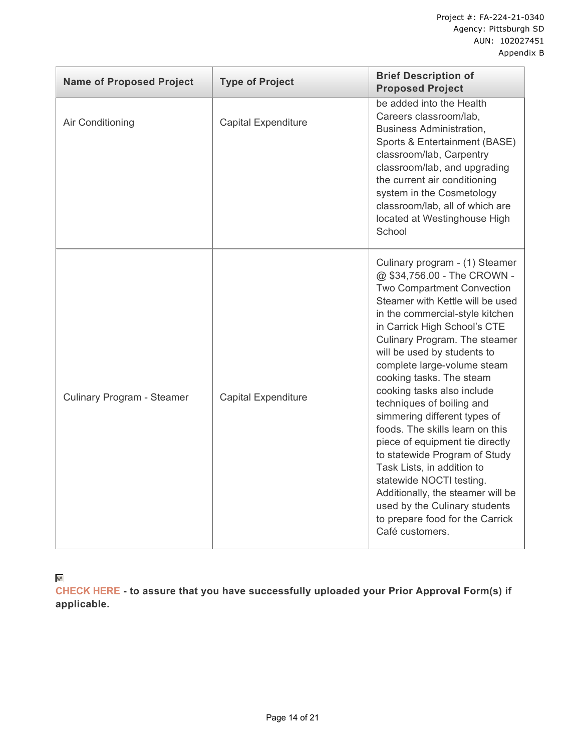| <b>Name of Proposed Project</b> | <b>Type of Project</b>     | <b>Brief Description of</b><br><b>Proposed Project</b>                                                                                                                                                                                                                                                                                                                                                                                                                                                                                                                                                                                                                                                                |
|---------------------------------|----------------------------|-----------------------------------------------------------------------------------------------------------------------------------------------------------------------------------------------------------------------------------------------------------------------------------------------------------------------------------------------------------------------------------------------------------------------------------------------------------------------------------------------------------------------------------------------------------------------------------------------------------------------------------------------------------------------------------------------------------------------|
| Air Conditioning                | <b>Capital Expenditure</b> | be added into the Health<br>Careers classroom/lab,<br><b>Business Administration,</b><br>Sports & Entertainment (BASE)<br>classroom/lab, Carpentry<br>classroom/lab, and upgrading<br>the current air conditioning<br>system in the Cosmetology<br>classroom/lab, all of which are<br>located at Westinghouse High<br>School                                                                                                                                                                                                                                                                                                                                                                                          |
| Culinary Program - Steamer      | <b>Capital Expenditure</b> | Culinary program - (1) Steamer<br>@ \$34,756.00 - The CROWN -<br>Two Compartment Convection<br>Steamer with Kettle will be used<br>in the commercial-style kitchen<br>in Carrick High School's CTE<br>Culinary Program. The steamer<br>will be used by students to<br>complete large-volume steam<br>cooking tasks. The steam<br>cooking tasks also include<br>techniques of boiling and<br>simmering different types of<br>foods. The skills learn on this<br>piece of equipment tie directly<br>to statewide Program of Study<br>Task Lists, in addition to<br>statewide NOCTI testing.<br>Additionally, the steamer will be<br>used by the Culinary students<br>to prepare food for the Carrick<br>Café customers. |

 $\mathbf{w}^{\prime}$ 

**CHECK HERE - to assure that you have successfully uploaded your Prior Approval Form(s) if applicable.**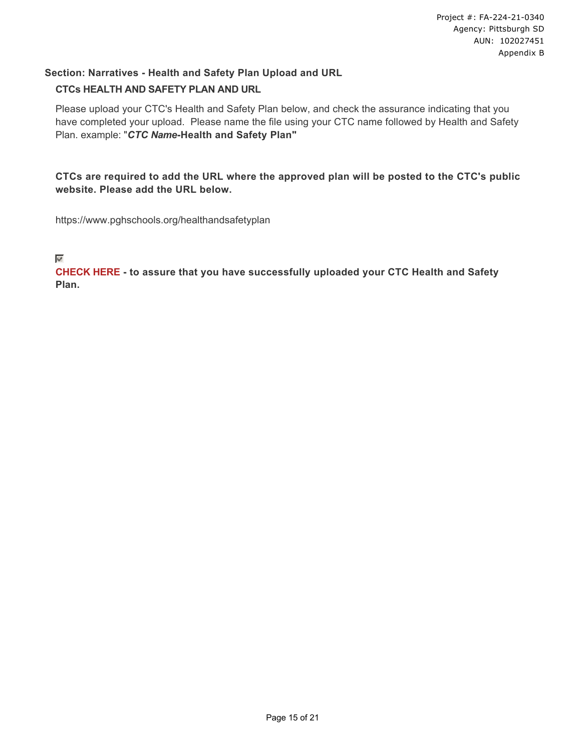## **Section: Narratives - Health and Safety Plan Upload and URL CTCs HEALTH AND SAFETY PLAN AND URL**

Please upload your CTC's Health and Safety Plan below, and check the assurance indicating that you have completed your upload. Please name the file using your CTC name followed by Health and Safety Plan. example: "*CTC Name***-Health and Safety Plan"**

**CTCs are required to add the URL where the approved plan will be posted to the CTC's public website. Please add the URL below.** 

https://www.pghschools.org/healthandsafetyplan

#### $\mathbf{b}$

**CHECK HERE - to assure that you have successfully uploaded your CTC Health and Safety Plan.**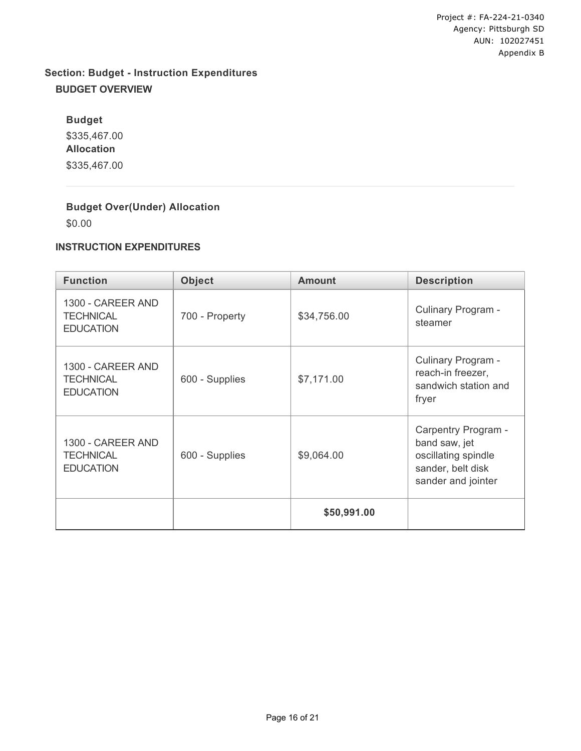## **Section: Budget - Instruction Expenditures BUDGET OVERVIEW**

**Budget** \$335,467.00 **Allocation** \$335,467.00

## **Budget Over(Under) Allocation**

\$0.00

### **INSTRUCTION EXPENDITURES**

| <b>Function</b>                                           | <b>Object</b>  | <b>Amount</b> | <b>Description</b>                                                                                     |  |  |
|-----------------------------------------------------------|----------------|---------------|--------------------------------------------------------------------------------------------------------|--|--|
| 1300 - CAREER AND<br><b>TECHNICAL</b><br><b>EDUCATION</b> | 700 - Property | \$34,756.00   | Culinary Program -<br>steamer                                                                          |  |  |
| 1300 - CAREER AND<br><b>TECHNICAL</b><br><b>EDUCATION</b> | 600 - Supplies | \$7,171.00    | Culinary Program -<br>reach-in freezer,<br>sandwich station and<br>fryer                               |  |  |
| 1300 - CAREER AND<br><b>TECHNICAL</b><br><b>EDUCATION</b> | 600 - Supplies | \$9,064.00    | Carpentry Program -<br>band saw, jet<br>oscillating spindle<br>sander, belt disk<br>sander and jointer |  |  |
|                                                           |                | \$50,991.00   |                                                                                                        |  |  |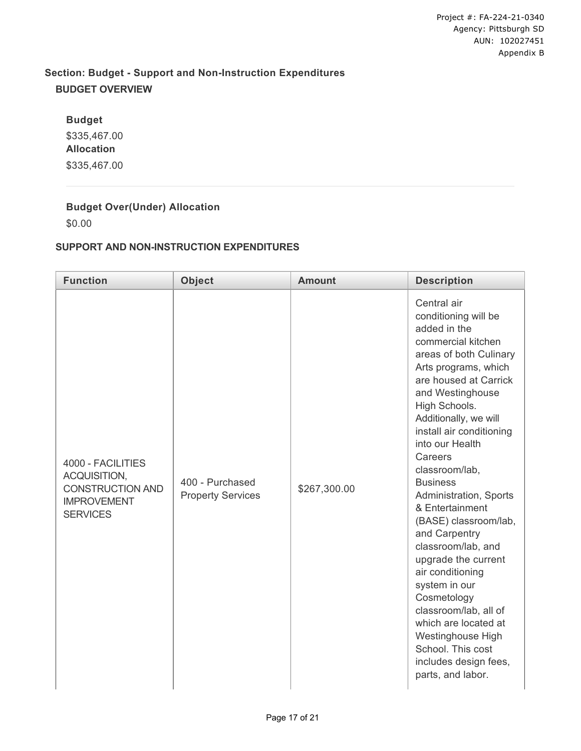## **Section: Budget - Support and Non-Instruction Expenditures BUDGET OVERVIEW**

**Budget** \$335,467.00 **Allocation** \$335,467.00

## **Budget Over(Under) Allocation**

\$0.00

### **SUPPORT AND NON-INSTRUCTION EXPENDITURES**

| <b>Function</b>                                                                                       | <b>Object</b><br><b>Amount</b>              |              | <b>Description</b>                                                                                                                                                                                                                                                                                                                                                                                                                                                                                                                                                                                                                                 |  |
|-------------------------------------------------------------------------------------------------------|---------------------------------------------|--------------|----------------------------------------------------------------------------------------------------------------------------------------------------------------------------------------------------------------------------------------------------------------------------------------------------------------------------------------------------------------------------------------------------------------------------------------------------------------------------------------------------------------------------------------------------------------------------------------------------------------------------------------------------|--|
| 4000 - FACILITIES<br>ACQUISITION,<br><b>CONSTRUCTION AND</b><br><b>IMPROVEMENT</b><br><b>SERVICES</b> | 400 - Purchased<br><b>Property Services</b> | \$267,300.00 | Central air<br>conditioning will be<br>added in the<br>commercial kitchen<br>areas of both Culinary<br>Arts programs, which<br>are housed at Carrick<br>and Westinghouse<br>High Schools.<br>Additionally, we will<br>install air conditioning<br>into our Health<br>Careers<br>classroom/lab,<br><b>Business</b><br>Administration, Sports<br>& Entertainment<br>(BASE) classroom/lab,<br>and Carpentry<br>classroom/lab, and<br>upgrade the current<br>air conditioning<br>system in our<br>Cosmetology<br>classroom/lab, all of<br>which are located at<br>Westinghouse High<br>School. This cost<br>includes design fees,<br>parts, and labor. |  |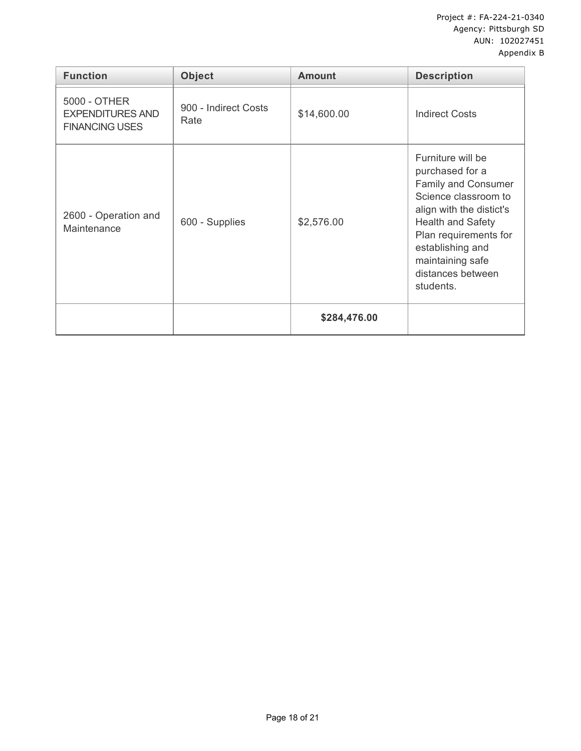| <b>Function</b>                                                  | <b>Object</b>                | <b>Amount</b> | <b>Description</b>                                                                                                                                                                                                                             |  |
|------------------------------------------------------------------|------------------------------|---------------|------------------------------------------------------------------------------------------------------------------------------------------------------------------------------------------------------------------------------------------------|--|
| 5000 - OTHER<br><b>EXPENDITURES AND</b><br><b>FINANCING USES</b> | 900 - Indirect Costs<br>Rate | \$14,600.00   | <b>Indirect Costs</b>                                                                                                                                                                                                                          |  |
| 2600 - Operation and<br>Maintenance                              | 600 - Supplies               | \$2,576.00    | Furniture will be<br>purchased for a<br>Family and Consumer<br>Science classroom to<br>align with the distict's<br><b>Health and Safety</b><br>Plan requirements for<br>establishing and<br>maintaining safe<br>distances between<br>students. |  |
|                                                                  |                              | \$284,476.00  |                                                                                                                                                                                                                                                |  |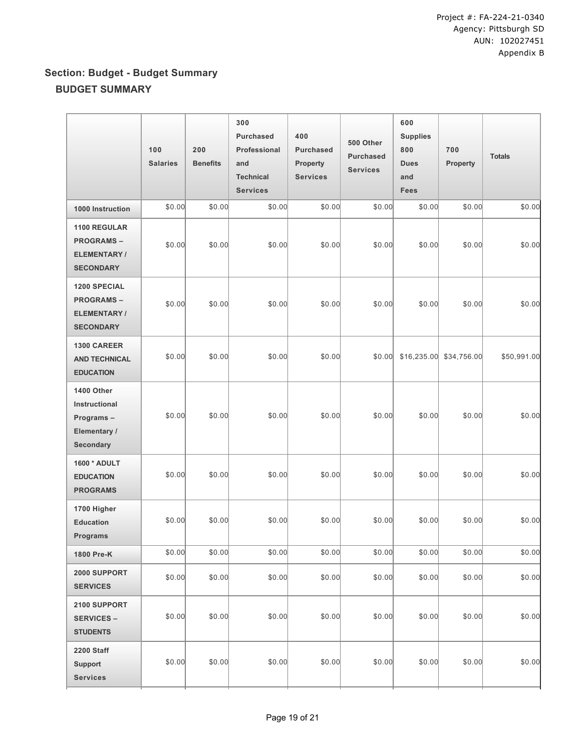# **Section: Budget - Budget Summary BUDGET SUMMARY**

|                                                                                   | 100<br><b>Salaries</b> | 200<br><b>Benefits</b> | 300<br><b>Purchased</b><br>Professional<br>and<br><b>Technical</b><br><b>Services</b> | 400<br><b>Purchased</b><br><b>Property</b><br><b>Services</b> | 500 Other<br><b>Purchased</b><br><b>Services</b> | 600<br><b>Supplies</b><br>800<br><b>Dues</b><br>and<br><b>Fees</b> | 700<br>Property | <b>Totals</b> |
|-----------------------------------------------------------------------------------|------------------------|------------------------|---------------------------------------------------------------------------------------|---------------------------------------------------------------|--------------------------------------------------|--------------------------------------------------------------------|-----------------|---------------|
| 1000 Instruction                                                                  | \$0.00                 | \$0.00                 | \$0.00                                                                                | \$0.00                                                        | \$0.00                                           | \$0.00                                                             | \$0.00          | \$0.00        |
| 1100 REGULAR<br><b>PROGRAMS-</b><br><b>ELEMENTARY/</b><br><b>SECONDARY</b>        | \$0.00                 | \$0.00                 | \$0.00                                                                                | \$0.00                                                        | \$0.00                                           | \$0.00                                                             | \$0.00          | \$0.00        |
| <b>1200 SPECIAL</b><br><b>PROGRAMS-</b><br><b>ELEMENTARY/</b><br><b>SECONDARY</b> | \$0.00                 | \$0.00                 | \$0.00                                                                                | \$0.00                                                        | \$0.00                                           | \$0.00                                                             | \$0.00          | \$0.00        |
| 1300 CAREER<br><b>AND TECHNICAL</b><br><b>EDUCATION</b>                           | \$0.00                 | \$0.00                 | \$0.00                                                                                | \$0.00                                                        | \$0.00                                           | \$16,235.00                                                        | \$34,756.00     | \$50,991.00   |
| 1400 Other<br>Instructional<br>Programs-<br>Elementary /<br>Secondary             | \$0.00                 | \$0.00                 | \$0.00                                                                                | \$0.00                                                        | \$0.00                                           | \$0.00                                                             | \$0.00          | \$0.00        |
| 1600 * ADULT<br><b>EDUCATION</b><br><b>PROGRAMS</b>                               | \$0.00                 | \$0.00                 | \$0.00                                                                                | \$0.00                                                        | \$0.00                                           | \$0.00                                                             | \$0.00          | \$0.00        |
| 1700 Higher<br><b>Education</b><br><b>Programs</b>                                | \$0.00                 | \$0.00                 | \$0.00                                                                                | \$0.00                                                        | \$0.00                                           | \$0.00                                                             | \$0.00          | \$0.00        |
| 1800 Pre-K                                                                        | \$0.00                 | \$0.00                 | \$0.00                                                                                | \$0.00                                                        | \$0.00                                           | \$0.00                                                             | \$0.00          | \$0.00        |
| 2000 SUPPORT<br><b>SERVICES</b>                                                   | \$0.00                 | \$0.00                 | \$0.00                                                                                | \$0.00                                                        | \$0.00                                           | \$0.00                                                             | \$0.00          | \$0.00        |
| 2100 SUPPORT<br><b>SERVICES -</b><br><b>STUDENTS</b>                              | \$0.00                 | \$0.00                 | \$0.00                                                                                | \$0.00                                                        | \$0.00                                           | \$0.00                                                             | \$0.00          | \$0.00        |
| 2200 Staff<br><b>Support</b><br><b>Services</b>                                   | \$0.00                 | \$0.00                 | \$0.00                                                                                | \$0.00                                                        | \$0.00                                           | \$0.00                                                             | \$0.00          | \$0.00        |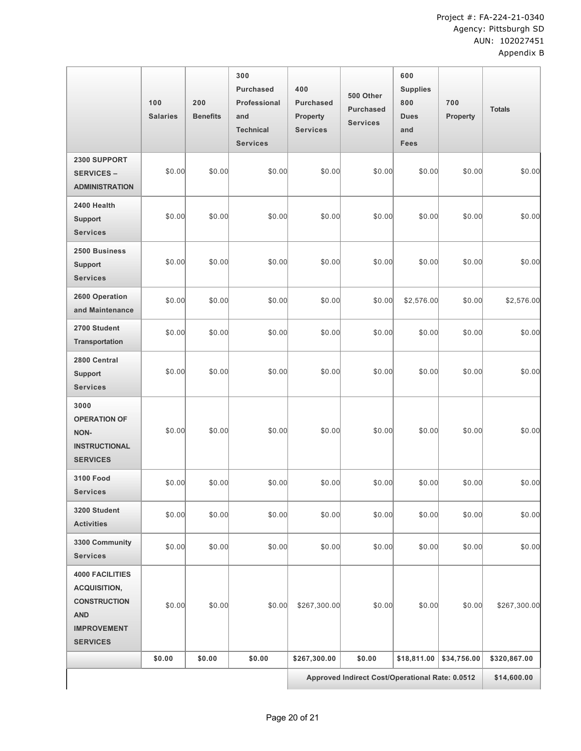|                                                                                                                             | 100<br><b>Salaries</b> | 200<br><b>Benefits</b> | 300<br><b>Purchased</b><br>Professional<br>and<br><b>Technical</b><br><b>Services</b> | 400<br><b>Purchased</b><br>Property<br><b>Services</b> | 500 Other<br><b>Purchased</b><br><b>Services</b> | 600<br><b>Supplies</b><br>800<br><b>Dues</b><br>and<br><b>Fees</b> | 700<br>Property | <b>Totals</b> |
|-----------------------------------------------------------------------------------------------------------------------------|------------------------|------------------------|---------------------------------------------------------------------------------------|--------------------------------------------------------|--------------------------------------------------|--------------------------------------------------------------------|-----------------|---------------|
| 2300 SUPPORT<br><b>SERVICES -</b><br><b>ADMINISTRATION</b>                                                                  | \$0.00                 | \$0.00                 | \$0.00                                                                                | \$0.00                                                 | \$0.00                                           | \$0.00                                                             | \$0.00          | \$0.00        |
| 2400 Health<br><b>Support</b><br><b>Services</b>                                                                            | \$0.00                 | \$0.00                 | \$0.00                                                                                | \$0.00                                                 | \$0.00                                           | \$0.00                                                             | \$0.00          | \$0.00        |
| 2500 Business<br><b>Support</b><br><b>Services</b>                                                                          | \$0.00                 | \$0.00                 | \$0.00                                                                                | \$0.00                                                 | \$0.00                                           | \$0.00                                                             | \$0.00          | \$0.00        |
| 2600 Operation<br>and Maintenance                                                                                           | \$0.00                 | \$0.00                 | \$0.00                                                                                | \$0.00                                                 | \$0.00                                           | \$2,576.00                                                         | \$0.00          | \$2,576.00    |
| 2700 Student<br>Transportation                                                                                              | \$0.00                 | \$0.00                 | \$0.00                                                                                | \$0.00                                                 | \$0.00                                           | \$0.00                                                             | \$0.00          | \$0.00        |
| 2800 Central<br><b>Support</b><br><b>Services</b>                                                                           | \$0.00                 | \$0.00                 | \$0.00                                                                                | \$0.00                                                 | \$0.00                                           | \$0.00                                                             | \$0.00          | \$0.00        |
| 3000<br><b>OPERATION OF</b><br>NON-<br><b>INSTRUCTIONAL</b><br><b>SERVICES</b>                                              | \$0.00                 | \$0.00                 | \$0.00                                                                                | \$0.00                                                 | \$0.00                                           | \$0.00                                                             | \$0.00          | \$0.00        |
| <b>3100 Food</b><br><b>Services</b>                                                                                         | \$0.00                 | \$0.00                 | \$0.00                                                                                | \$0.00                                                 | \$0.00                                           | \$0.00                                                             | \$0.00          | \$0.00        |
| 3200 Student<br><b>Activities</b>                                                                                           | \$0.00                 | \$0.00                 | \$0.00                                                                                | \$0.00                                                 | \$0.00                                           | \$0.00                                                             | \$0.00          | \$0.00        |
| 3300 Community<br><b>Services</b>                                                                                           | \$0.00                 | \$0.00                 | \$0.00                                                                                | \$0.00                                                 | \$0.00                                           | \$0.00                                                             | \$0.00          | \$0.00        |
| <b>4000 FACILITIES</b><br><b>ACQUISITION,</b><br><b>CONSTRUCTION</b><br><b>AND</b><br><b>IMPROVEMENT</b><br><b>SERVICES</b> | \$0.00                 | \$0.00                 | \$0.00                                                                                | \$267,300.00                                           | \$0.00                                           | \$0.00                                                             | \$0.00          | \$267,300.00  |
|                                                                                                                             | \$0.00                 | \$0.00                 | \$0.00                                                                                | \$267,300.00                                           | \$0.00                                           | \$18,811.00                                                        | \$34,756.00     | \$320,867.00  |
|                                                                                                                             |                        |                        |                                                                                       | Approved Indirect Cost/Operational Rate: 0.0512        |                                                  |                                                                    |                 | \$14,600.00   |